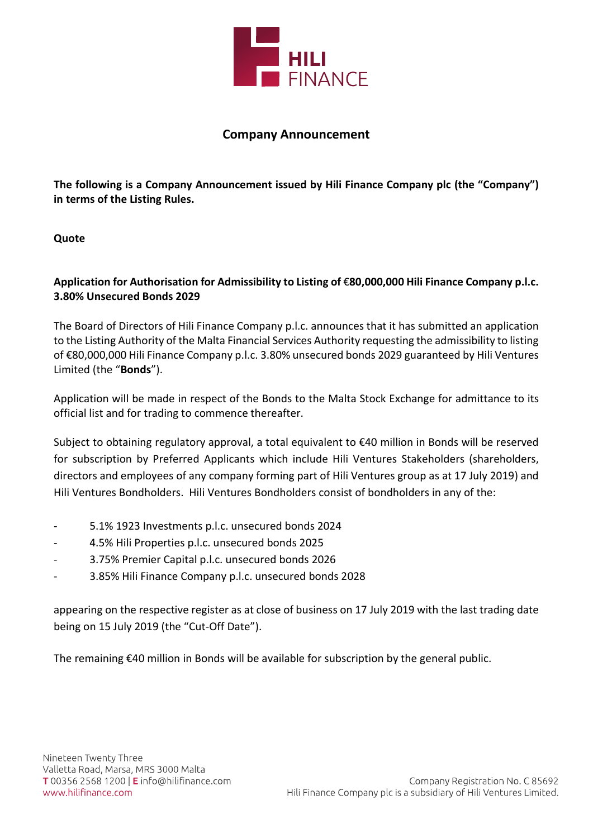

## Company Announcement

The following is a Company Announcement issued by Hili Finance Company plc (the "Company") in terms of the Listing Rules.

**Ouote** 

## Application for Authorisation for Admissibility to Listing of €80,000,000 Hili Finance Company p.l.c. 3.80% Unsecured Bonds 2029

The Board of Directors of Hili Finance Company p.l.c. announces that it has submitted an application to the Listing Authority of the Malta Financial Services Authority requesting the admissibility to listing of €80,000,000 Hili Finance Company p.l.c. 3.80% unsecured bonds 2029 guaranteed by Hili Ventures Limited (the "Bonds").

Application will be made in respect of the Bonds to the Malta Stock Exchange for admittance to its official list and for trading to commence thereafter.

Subject to obtaining regulatory approval, a total equivalent to €40 million in Bonds will be reserved for subscription by Preferred Applicants which include Hili Ventures Stakeholders (shareholders, directors and employees of any company forming part of Hili Ventures group as at 17 July 2019) and Hili Ventures Bondholders. Hili Ventures Bondholders consist of bondholders in any of the:

- 5.1% 1923 Investments p.l.c. unsecured bonds 2024
- 4.5% Hili Properties p.l.c. unsecured bonds 2025
- 3.75% Premier Capital p.l.c. unsecured bonds 2026
- 3.85% Hili Finance Company p.l.c. unsecured bonds 2028

appearing on the respective register as at close of business on 17 July 2019 with the last trading date being on 15 July 2019 (the "Cut-Off Date").

The remaining €40 million in Bonds will be available for subscription by the general public.